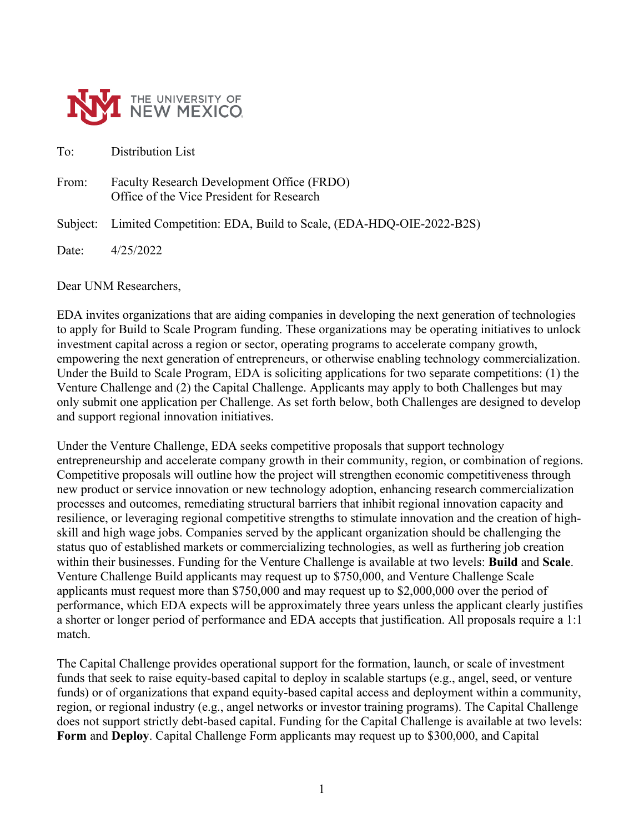

To: Distribution List

From: Faculty Research Development Office (FRDO) Office of the Vice President for Research

Subject: Limited Competition: EDA, Build to Scale, (EDA-HDQ-OIE-2022-B2S)

Date: 4/25/2022

Dear UNM Researchers,

EDA invites organizations that are aiding companies in developing the next generation of technologies to apply for Build to Scale Program funding. These organizations may be operating initiatives to unlock investment capital across a region or sector, operating programs to accelerate company growth, empowering the next generation of entrepreneurs, or otherwise enabling technology commercialization. Under the Build to Scale Program, EDA is soliciting applications for two separate competitions: (1) the Venture Challenge and (2) the Capital Challenge. Applicants may apply to both Challenges but may only submit one application per Challenge. As set forth below, both Challenges are designed to develop and support regional innovation initiatives.

Under the Venture Challenge, EDA seeks competitive proposals that support technology entrepreneurship and accelerate company growth in their community, region, or combination of regions. Competitive proposals will outline how the project will strengthen economic competitiveness through new product or service innovation or new technology adoption, enhancing research commercialization processes and outcomes, remediating structural barriers that inhibit regional innovation capacity and resilience, or leveraging regional competitive strengths to stimulate innovation and the creation of highskill and high wage jobs. Companies served by the applicant organization should be challenging the status quo of established markets or commercializing technologies, as well as furthering job creation within their businesses. Funding for the Venture Challenge is available at two levels: **Build** and **Scale**. Venture Challenge Build applicants may request up to \$750,000, and Venture Challenge Scale applicants must request more than \$750,000 and may request up to \$2,000,000 over the period of performance, which EDA expects will be approximately three years unless the applicant clearly justifies a shorter or longer period of performance and EDA accepts that justification. All proposals require a 1:1 match.

The Capital Challenge provides operational support for the formation, launch, or scale of investment funds that seek to raise equity-based capital to deploy in scalable startups (e.g., angel, seed, or venture funds) or of organizations that expand equity-based capital access and deployment within a community, region, or regional industry (e.g., angel networks or investor training programs). The Capital Challenge does not support strictly debt-based capital. Funding for the Capital Challenge is available at two levels: **Form** and **Deploy**. Capital Challenge Form applicants may request up to \$300,000, and Capital